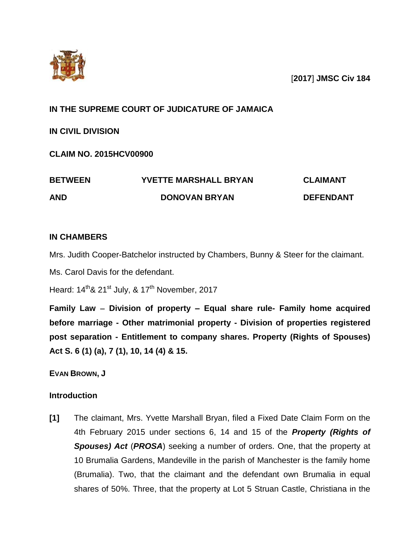

[**2017**] **JMSC Civ 184**

# **IN THE SUPREME COURT OF JUDICATURE OF JAMAICA**

**IN CIVIL DIVISION**

**CLAIM NO. 2015HCV00900**

| <b>BETWEEN</b> | <b>YVETTE MARSHALL BRYAN</b> | <b>CLAIMANT</b>  |
|----------------|------------------------------|------------------|
| <b>AND</b>     | <b>DONOVAN BRYAN</b>         | <b>DEFENDANT</b> |

# **IN CHAMBERS**

Mrs. Judith Cooper-Batchelor instructed by Chambers, Bunny & Steer for the claimant.

Ms. Carol Davis for the defendant.

Heard:  $14^{\text{th}}$ & 21<sup>st</sup> July, & 17<sup>th</sup> November, 2017

**Family Law Division of property – Equal share rule- Family home acquired before marriage - Other matrimonial property - Division of properties registered post separation - Entitlement to company shares. Property (Rights of Spouses) Act S. 6 (1) (a), 7 (1), 10, 14 (4) & 15.**

**EVAN BROWN, J**

## **Introduction**

**[1]** The claimant, Mrs. Yvette Marshall Bryan, filed a Fixed Date Claim Form on the 4th February 2015 under sections 6, 14 and 15 of the *Property (Rights of Spouses) Act* (*PROSA*) seeking a number of orders. One, that the property at 10 Brumalia Gardens, Mandeville in the parish of Manchester is the family home (Brumalia). Two, that the claimant and the defendant own Brumalia in equal shares of 50%. Three, that the property at Lot 5 Struan Castle, Christiana in the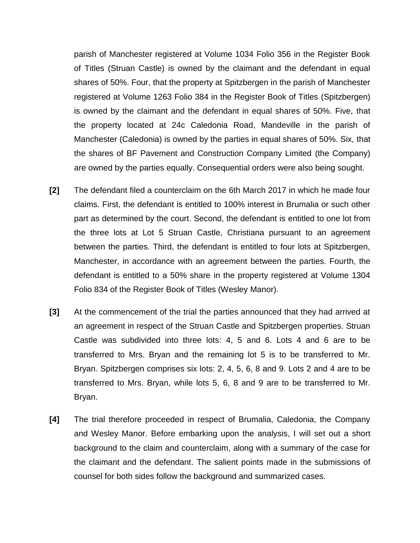parish of Manchester registered at Volume 1034 Folio 356 in the Register Book of Titles (Struan Castle) is owned by the claimant and the defendant in equal shares of 50%. Four, that the property at Spitzbergen in the parish of Manchester registered at Volume 1263 Folio 384 in the Register Book of Titles (Spitzbergen) is owned by the claimant and the defendant in equal shares of 50%. Five, that the property located at 24c Caledonia Road, Mandeville in the parish of Manchester (Caledonia) is owned by the parties in equal shares of 50%. Six, that the shares of BF Pavement and Construction Company Limited (the Company) are owned by the parties equally. Consequential orders were also being sought.

- **[2]** The defendant filed a counterclaim on the 6th March 2017 in which he made four claims. First, the defendant is entitled to 100% interest in Brumalia or such other part as determined by the court. Second, the defendant is entitled to one lot from the three lots at Lot 5 Struan Castle, Christiana pursuant to an agreement between the parties. Third, the defendant is entitled to four lots at Spitzbergen, Manchester, in accordance with an agreement between the parties. Fourth, the defendant is entitled to a 50% share in the property registered at Volume 1304 Folio 834 of the Register Book of Titles (Wesley Manor).
- **[3]** At the commencement of the trial the parties announced that they had arrived at an agreement in respect of the Struan Castle and Spitzbergen properties. Struan Castle was subdivided into three lots: 4, 5 and 6. Lots 4 and 6 are to be transferred to Mrs. Bryan and the remaining lot 5 is to be transferred to Mr. Bryan. Spitzbergen comprises six lots: 2, 4, 5, 6, 8 and 9. Lots 2 and 4 are to be transferred to Mrs. Bryan, while lots 5, 6, 8 and 9 are to be transferred to Mr. Bryan.
- **[4]** The trial therefore proceeded in respect of Brumalia, Caledonia, the Company and Wesley Manor. Before embarking upon the analysis, I will set out a short background to the claim and counterclaim, along with a summary of the case for the claimant and the defendant. The salient points made in the submissions of counsel for both sides follow the background and summarized cases.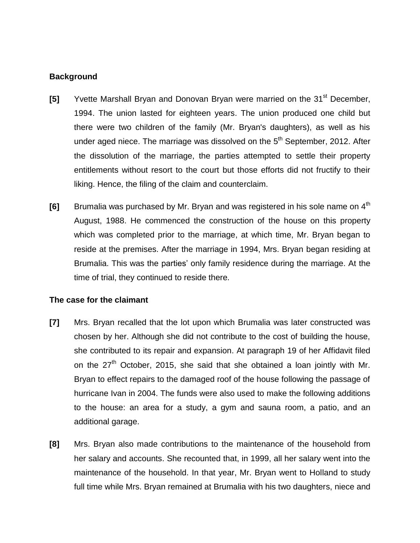## **Background**

- **[5]** Yvette Marshall Bryan and Donovan Bryan were married on the 31<sup>st</sup> December, 1994. The union lasted for eighteen years. The union produced one child but there were two children of the family (Mr. Bryan's daughters), as well as his under aged niece. The marriage was dissolved on the  $5<sup>th</sup>$  September, 2012. After the dissolution of the marriage, the parties attempted to settle their property entitlements without resort to the court but those efforts did not fructify to their liking. Hence, the filing of the claim and counterclaim.
- **[6]** Brumalia was purchased by Mr. Bryan and was registered in his sole name on 4<sup>th</sup> August, 1988. He commenced the construction of the house on this property which was completed prior to the marriage, at which time, Mr. Bryan began to reside at the premises. After the marriage in 1994, Mrs. Bryan began residing at Brumalia. This was the parties' only family residence during the marriage. At the time of trial, they continued to reside there.

## **The case for the claimant**

- **[7]** Mrs. Bryan recalled that the lot upon which Brumalia was later constructed was chosen by her. Although she did not contribute to the cost of building the house, she contributed to its repair and expansion. At paragraph 19 of her Affidavit filed on the  $27<sup>th</sup>$  October, 2015, she said that she obtained a loan jointly with Mr. Bryan to effect repairs to the damaged roof of the house following the passage of hurricane Ivan in 2004. The funds were also used to make the following additions to the house: an area for a study, a gym and sauna room, a patio, and an additional garage.
- **[8]** Mrs. Bryan also made contributions to the maintenance of the household from her salary and accounts. She recounted that, in 1999, all her salary went into the maintenance of the household. In that year, Mr. Bryan went to Holland to study full time while Mrs. Bryan remained at Brumalia with his two daughters, niece and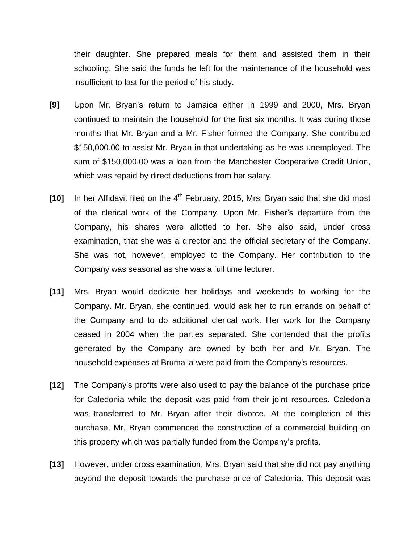their daughter. She prepared meals for them and assisted them in their schooling. She said the funds he left for the maintenance of the household was insufficient to last for the period of his study.

- **[9]** Upon Mr. Bryan's return to Jamaica either in 1999 and 2000, Mrs. Bryan continued to maintain the household for the first six months. It was during those months that Mr. Bryan and a Mr. Fisher formed the Company. She contributed \$150,000.00 to assist Mr. Bryan in that undertaking as he was unemployed. The sum of \$150,000.00 was a loan from the Manchester Cooperative Credit Union, which was repaid by direct deductions from her salary.
- **[10]** In her Affidavit filed on the 4<sup>th</sup> February, 2015, Mrs. Bryan said that she did most of the clerical work of the Company. Upon Mr. Fisher's departure from the Company, his shares were allotted to her. She also said, under cross examination, that she was a director and the official secretary of the Company. She was not, however, employed to the Company. Her contribution to the Company was seasonal as she was a full time lecturer.
- **[11]** Mrs. Bryan would dedicate her holidays and weekends to working for the Company. Mr. Bryan, she continued, would ask her to run errands on behalf of the Company and to do additional clerical work. Her work for the Company ceased in 2004 when the parties separated. She contended that the profits generated by the Company are owned by both her and Mr. Bryan. The household expenses at Brumalia were paid from the Company's resources.
- **[12]** The Company's profits were also used to pay the balance of the purchase price for Caledonia while the deposit was paid from their joint resources. Caledonia was transferred to Mr. Bryan after their divorce. At the completion of this purchase, Mr. Bryan commenced the construction of a commercial building on this property which was partially funded from the Company's profits.
- **[13]** However, under cross examination, Mrs. Bryan said that she did not pay anything beyond the deposit towards the purchase price of Caledonia. This deposit was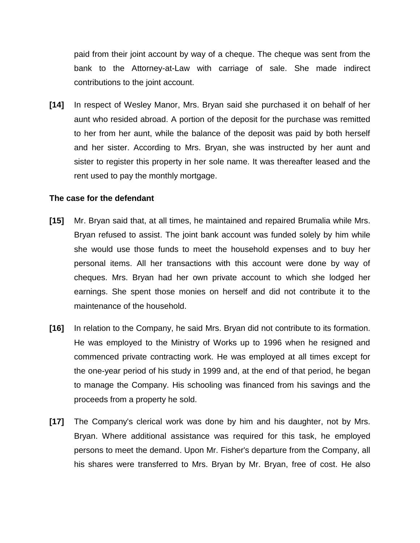paid from their joint account by way of a cheque. The cheque was sent from the bank to the Attorney-at-Law with carriage of sale. She made indirect contributions to the joint account.

**[14]** In respect of Wesley Manor, Mrs. Bryan said she purchased it on behalf of her aunt who resided abroad. A portion of the deposit for the purchase was remitted to her from her aunt, while the balance of the deposit was paid by both herself and her sister. According to Mrs. Bryan, she was instructed by her aunt and sister to register this property in her sole name. It was thereafter leased and the rent used to pay the monthly mortgage.

## **The case for the defendant**

- **[15]** Mr. Bryan said that, at all times, he maintained and repaired Brumalia while Mrs. Bryan refused to assist. The joint bank account was funded solely by him while she would use those funds to meet the household expenses and to buy her personal items. All her transactions with this account were done by way of cheques. Mrs. Bryan had her own private account to which she lodged her earnings. She spent those monies on herself and did not contribute it to the maintenance of the household.
- **[16]** In relation to the Company, he said Mrs. Bryan did not contribute to its formation. He was employed to the Ministry of Works up to 1996 when he resigned and commenced private contracting work. He was employed at all times except for the one-year period of his study in 1999 and, at the end of that period, he began to manage the Company. His schooling was financed from his savings and the proceeds from a property he sold.
- **[17]** The Company's clerical work was done by him and his daughter, not by Mrs. Bryan. Where additional assistance was required for this task, he employed persons to meet the demand. Upon Mr. Fisher's departure from the Company, all his shares were transferred to Mrs. Bryan by Mr. Bryan, free of cost. He also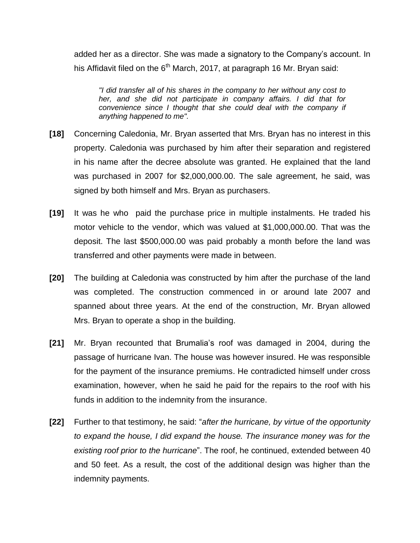added her as a director. She was made a signatory to the Company's account. In his Affidavit filed on the  $6<sup>th</sup>$  March, 2017, at paragraph 16 Mr. Bryan said:

*"I did transfer all of his shares in the company to her without any cost to her, and she did not participate in company affairs. I did that for convenience since I thought that she could deal with the company if anything happened to me".* 

- **[18]** Concerning Caledonia, Mr. Bryan asserted that Mrs. Bryan has no interest in this property. Caledonia was purchased by him after their separation and registered in his name after the decree absolute was granted. He explained that the land was purchased in 2007 for \$2,000,000.00. The sale agreement, he said, was signed by both himself and Mrs. Bryan as purchasers.
- **[19]** It was he who paid the purchase price in multiple instalments. He traded his motor vehicle to the vendor, which was valued at \$1,000,000.00. That was the deposit. The last \$500,000.00 was paid probably a month before the land was transferred and other payments were made in between.
- **[20]** The building at Caledonia was constructed by him after the purchase of the land was completed. The construction commenced in or around late 2007 and spanned about three years. At the end of the construction, Mr. Bryan allowed Mrs. Bryan to operate a shop in the building.
- **[21]** Mr. Bryan recounted that Brumalia's roof was damaged in 2004, during the passage of hurricane Ivan. The house was however insured. He was responsible for the payment of the insurance premiums. He contradicted himself under cross examination, however, when he said he paid for the repairs to the roof with his funds in addition to the indemnity from the insurance.
- **[22]** Further to that testimony, he said: "*after the hurricane, by virtue of the opportunity to expand the house, I did expand the house. The insurance money was for the existing roof prior to the hurricane*". The roof, he continued, extended between 40 and 50 feet. As a result, the cost of the additional design was higher than the indemnity payments.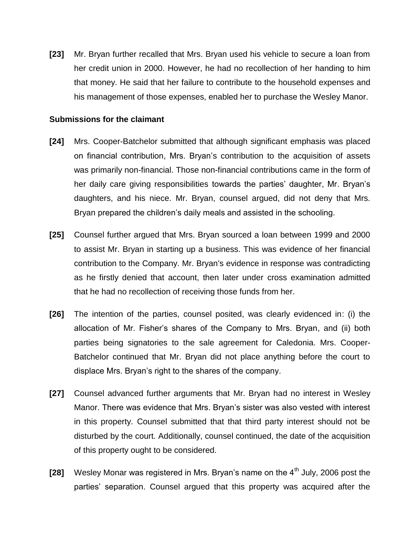**[23]** Mr. Bryan further recalled that Mrs. Bryan used his vehicle to secure a loan from her credit union in 2000. However, he had no recollection of her handing to him that money. He said that her failure to contribute to the household expenses and his management of those expenses, enabled her to purchase the Wesley Manor.

### **Submissions for the claimant**

- **[24]** Mrs. Cooper-Batchelor submitted that although significant emphasis was placed on financial contribution, Mrs. Bryan's contribution to the acquisition of assets was primarily non-financial. Those non-financial contributions came in the form of her daily care giving responsibilities towards the parties' daughter, Mr. Bryan's daughters, and his niece. Mr. Bryan, counsel argued, did not deny that Mrs. Bryan prepared the children's daily meals and assisted in the schooling.
- **[25]** Counsel further argued that Mrs. Bryan sourced a loan between 1999 and 2000 to assist Mr. Bryan in starting up a business. This was evidence of her financial contribution to the Company. Mr. Bryan's evidence in response was contradicting as he firstly denied that account, then later under cross examination admitted that he had no recollection of receiving those funds from her.
- **[26]** The intention of the parties, counsel posited, was clearly evidenced in: (i) the allocation of Mr. Fisher's shares of the Company to Mrs. Bryan, and (ii) both parties being signatories to the sale agreement for Caledonia. Mrs. Cooper-Batchelor continued that Mr. Bryan did not place anything before the court to displace Mrs. Bryan's right to the shares of the company.
- **[27]** Counsel advanced further arguments that Mr. Bryan had no interest in Wesley Manor. There was evidence that Mrs. Bryan's sister was also vested with interest in this property. Counsel submitted that that third party interest should not be disturbed by the court. Additionally, counsel continued, the date of the acquisition of this property ought to be considered.
- **[28]** Wesley Monar was registered in Mrs. Bryan's name on the 4<sup>th</sup> July, 2006 post the parties' separation. Counsel argued that this property was acquired after the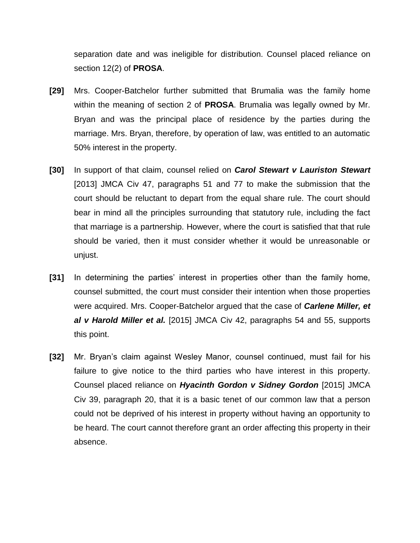separation date and was ineligible for distribution. Counsel placed reliance on section 12(2) of **PROSA**.

- **[29]** Mrs. Cooper-Batchelor further submitted that Brumalia was the family home within the meaning of section 2 of **PROSA**. Brumalia was legally owned by Mr. Bryan and was the principal place of residence by the parties during the marriage. Mrs. Bryan, therefore, by operation of law, was entitled to an automatic 50% interest in the property.
- **[30]** In support of that claim, counsel relied on *Carol Stewart v Lauriston Stewart*  [2013] JMCA Civ 47, paragraphs 51 and 77 to make the submission that the court should be reluctant to depart from the equal share rule. The court should bear in mind all the principles surrounding that statutory rule, including the fact that marriage is a partnership. However, where the court is satisfied that that rule should be varied, then it must consider whether it would be unreasonable or unjust.
- **[31]** In determining the parties' interest in properties other than the family home, counsel submitted, the court must consider their intention when those properties were acquired. Mrs. Cooper-Batchelor argued that the case of *Carlene Miller, et al v Harold Miller et al.* [2015] JMCA Civ 42, paragraphs 54 and 55, supports this point.
- **[32]** Mr. Bryan's claim against Wesley Manor, counsel continued, must fail for his failure to give notice to the third parties who have interest in this property. Counsel placed reliance on *Hyacinth Gordon v Sidney Gordon* [2015] JMCA Civ 39, paragraph 20, that it is a basic tenet of our common law that a person could not be deprived of his interest in property without having an opportunity to be heard. The court cannot therefore grant an order affecting this property in their absence.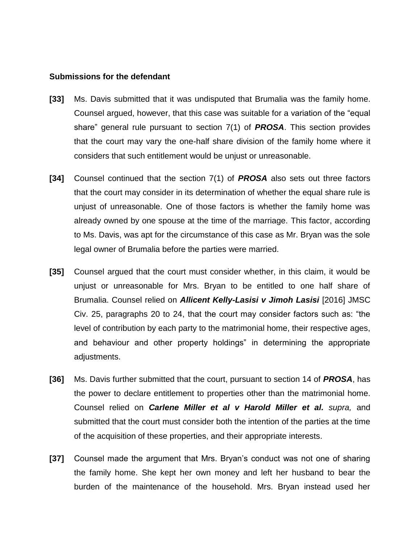#### **Submissions for the defendant**

- **[33]** Ms. Davis submitted that it was undisputed that Brumalia was the family home. Counsel argued, however, that this case was suitable for a variation of the "equal share" general rule pursuant to section 7(1) of *PROSA*. This section provides that the court may vary the one-half share division of the family home where it considers that such entitlement would be unjust or unreasonable.
- **[34]** Counsel continued that the section 7(1) of *PROSA* also sets out three factors that the court may consider in its determination of whether the equal share rule is unjust of unreasonable. One of those factors is whether the family home was already owned by one spouse at the time of the marriage. This factor, according to Ms. Davis, was apt for the circumstance of this case as Mr. Bryan was the sole legal owner of Brumalia before the parties were married.
- **[35]** Counsel argued that the court must consider whether, in this claim, it would be unjust or unreasonable for Mrs. Bryan to be entitled to one half share of Brumalia. Counsel relied on *Allicent Kelly-Lasisi v Jimoh Lasisi* [2016] JMSC Civ. 25, paragraphs 20 to 24, that the court may consider factors such as: "the level of contribution by each party to the matrimonial home, their respective ages, and behaviour and other property holdings" in determining the appropriate adjustments.
- **[36]** Ms. Davis further submitted that the court, pursuant to section 14 of *PROSA*, has the power to declare entitlement to properties other than the matrimonial home. Counsel relied on *Carlene Miller et al v Harold Miller et al. supra,* and submitted that the court must consider both the intention of the parties at the time of the acquisition of these properties, and their appropriate interests.
- **[37]** Counsel made the argument that Mrs. Bryan's conduct was not one of sharing the family home. She kept her own money and left her husband to bear the burden of the maintenance of the household. Mrs. Bryan instead used her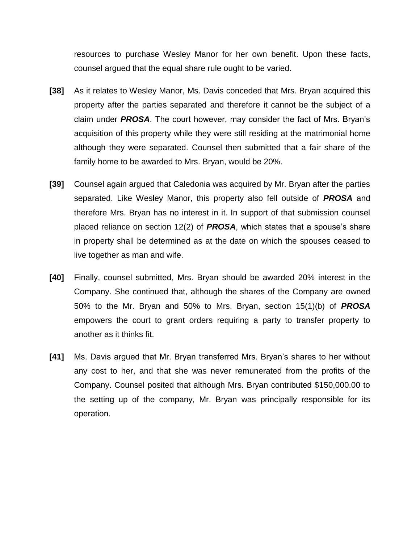resources to purchase Wesley Manor for her own benefit. Upon these facts, counsel argued that the equal share rule ought to be varied.

- **[38]** As it relates to Wesley Manor, Ms. Davis conceded that Mrs. Bryan acquired this property after the parties separated and therefore it cannot be the subject of a claim under *PROSA*. The court however, may consider the fact of Mrs. Bryan's acquisition of this property while they were still residing at the matrimonial home although they were separated. Counsel then submitted that a fair share of the family home to be awarded to Mrs. Bryan, would be 20%.
- **[39]** Counsel again argued that Caledonia was acquired by Mr. Bryan after the parties separated. Like Wesley Manor, this property also fell outside of *PROSA* and therefore Mrs. Bryan has no interest in it. In support of that submission counsel placed reliance on section 12(2) of *PROSA*, which states that a spouse's share in property shall be determined as at the date on which the spouses ceased to live together as man and wife.
- **[40]** Finally, counsel submitted, Mrs. Bryan should be awarded 20% interest in the Company. She continued that, although the shares of the Company are owned 50% to the Mr. Bryan and 50% to Mrs. Bryan, section 15(1)(b) of *PROSA* empowers the court to grant orders requiring a party to transfer property to another as it thinks fit.
- **[41]** Ms. Davis argued that Mr. Bryan transferred Mrs. Bryan's shares to her without any cost to her, and that she was never remunerated from the profits of the Company. Counsel posited that although Mrs. Bryan contributed \$150,000.00 to the setting up of the company, Mr. Bryan was principally responsible for its operation.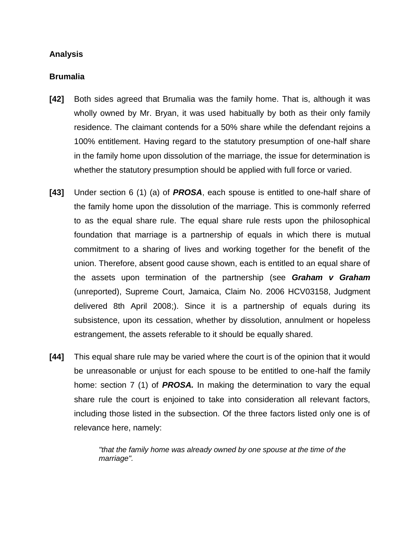## **Analysis**

### **Brumalia**

- **[42]** Both sides agreed that Brumalia was the family home. That is, although it was wholly owned by Mr. Bryan, it was used habitually by both as their only family residence. The claimant contends for a 50% share while the defendant rejoins a 100% entitlement. Having regard to the statutory presumption of one-half share in the family home upon dissolution of the marriage, the issue for determination is whether the statutory presumption should be applied with full force or varied.
- **[43]** Under section 6 (1) (a) of *PROSA*, each spouse is entitled to one-half share of the family home upon the dissolution of the marriage. This is commonly referred to as the equal share rule. The equal share rule rests upon the philosophical foundation that marriage is a partnership of equals in which there is mutual commitment to a sharing of lives and working together for the benefit of the union. Therefore, absent good cause shown, each is entitled to an equal share of the assets upon termination of the partnership (see *Graham v Graham* (unreported), Supreme Court, Jamaica, Claim No. 2006 HCV03158, Judgment delivered 8th April 2008;). Since it is a partnership of equals during its subsistence, upon its cessation, whether by dissolution, annulment or hopeless estrangement, the assets referable to it should be equally shared.
- **[44]** This equal share rule may be varied where the court is of the opinion that it would be unreasonable or unjust for each spouse to be entitled to one-half the family home: section 7 (1) of *PROSA.* In making the determination to vary the equal share rule the court is enjoined to take into consideration all relevant factors, including those listed in the subsection. Of the three factors listed only one is of relevance here, namely:

*"that the family home was already owned by one spouse at the time of the marriage".*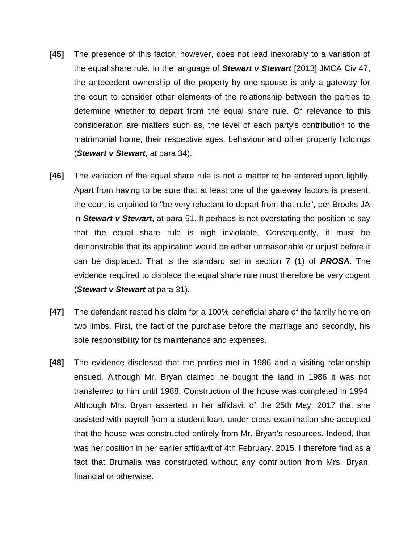- **[45]** The presence of this factor, however, does not lead inexorably to a variation of the equal share rule. In the language of *Stewart v Stewart* [2013] JMCA Civ 47, the antecedent ownership of the property by one spouse is only a gateway for the court to consider other elements of the relationship between the parties to determine whether to depart from the equal share rule. Of relevance to this consideration are matters such as, the level of each party's contribution to the matrimonial home, their respective ages, behaviour and other property holdings (*Stewart v Stewart*, at para 34).
- **[46]** The variation of the equal share rule is not a matter to be entered upon lightly. Apart from having to be sure that at least one of the gateway factors is present, the court is enjoined to "be very reluctant to depart from that rule", per Brooks JA in *Stewart v Stewart*, at para 51. It perhaps is not overstating the position to say that the equal share rule is nigh inviolable. Consequently, it must be demonstrable that its application would be either unreasonable or unjust before it can be displaced. That is the standard set in section 7 (1) of *PROSA*. The evidence required to displace the equal share rule must therefore be very cogent (*Stewart v Stewart* at para 31).
- **[47]** The defendant rested his claim for a 100% beneficial share of the family home on two limbs. First, the fact of the purchase before the marriage and secondly, his sole responsibility for its maintenance and expenses.
- **[48]** The evidence disclosed that the parties met in 1986 and a visiting relationship ensued. Although Mr. Bryan claimed he bought the land in 1986 it was not transferred to him until 1988. Construction of the house was completed in 1994. Although Mrs. Bryan asserted in her affidavit of the 25th May, 2017 that she assisted with payroll from a student loan, under cross-examination she accepted that the house was constructed entirely from Mr. Bryan's resources. Indeed, that was her position in her earlier affidavit of 4th February, 2015. I therefore find as a fact that Brumalia was constructed without any contribution from Mrs. Bryan, financial or otherwise.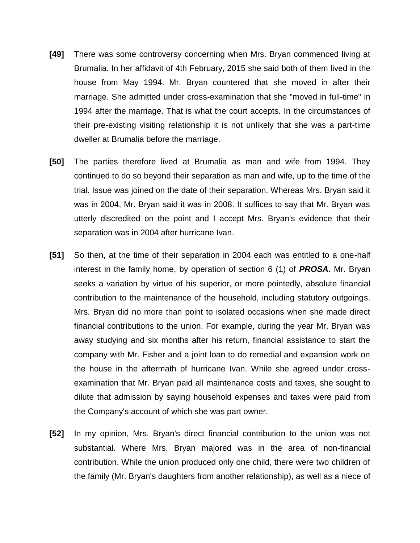- **[49]** There was some controversy concerning when Mrs. Bryan commenced living at Brumalia. In her affidavit of 4th February, 2015 she said both of them lived in the house from May 1994. Mr. Bryan countered that she moved in after their marriage. She admitted under cross-examination that she "moved in full-time" in 1994 after the marriage. That is what the court accepts. In the circumstances of their pre-existing visiting relationship it is not unlikely that she was a part-time dweller at Brumalia before the marriage.
- **[50]** The parties therefore lived at Brumalia as man and wife from 1994. They continued to do so beyond their separation as man and wife, up to the time of the trial. Issue was joined on the date of their separation. Whereas Mrs. Bryan said it was in 2004, Mr. Bryan said it was in 2008. It suffices to say that Mr. Bryan was utterly discredited on the point and I accept Mrs. Bryan's evidence that their separation was in 2004 after hurricane Ivan.
- **[51]** So then, at the time of their separation in 2004 each was entitled to a one-half interest in the family home, by operation of section 6 (1) of *PROSA*. Mr. Bryan seeks a variation by virtue of his superior, or more pointedly, absolute financial contribution to the maintenance of the household, including statutory outgoings. Mrs. Bryan did no more than point to isolated occasions when she made direct financial contributions to the union. For example, during the year Mr. Bryan was away studying and six months after his return, financial assistance to start the company with Mr. Fisher and a joint loan to do remedial and expansion work on the house in the aftermath of hurricane Ivan. While she agreed under crossexamination that Mr. Bryan paid all maintenance costs and taxes, she sought to dilute that admission by saying household expenses and taxes were paid from the Company's account of which she was part owner.
- **[52]** In my opinion, Mrs. Bryan's direct financial contribution to the union was not substantial. Where Mrs. Bryan majored was in the area of non-financial contribution. While the union produced only one child, there were two children of the family (Mr. Bryan's daughters from another relationship), as well as a niece of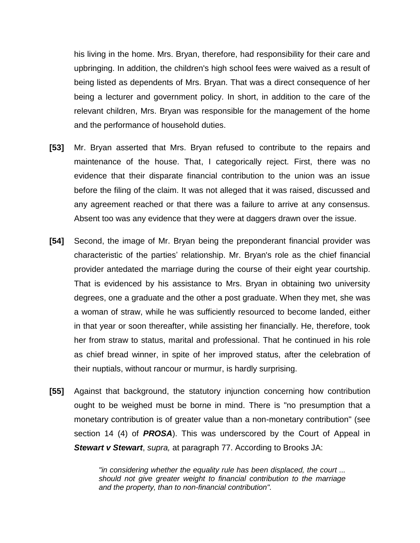his living in the home. Mrs. Bryan, therefore, had responsibility for their care and upbringing. In addition, the children's high school fees were waived as a result of being listed as dependents of Mrs. Bryan. That was a direct consequence of her being a lecturer and government policy. In short, in addition to the care of the relevant children, Mrs. Bryan was responsible for the management of the home and the performance of household duties.

- **[53]** Mr. Bryan asserted that Mrs. Bryan refused to contribute to the repairs and maintenance of the house. That, I categorically reject. First, there was no evidence that their disparate financial contribution to the union was an issue before the filing of the claim. It was not alleged that it was raised, discussed and any agreement reached or that there was a failure to arrive at any consensus. Absent too was any evidence that they were at daggers drawn over the issue.
- **[54]** Second, the image of Mr. Bryan being the preponderant financial provider was characteristic of the parties' relationship. Mr. Bryan's role as the chief financial provider antedated the marriage during the course of their eight year courtship. That is evidenced by his assistance to Mrs. Bryan in obtaining two university degrees, one a graduate and the other a post graduate. When they met, she was a woman of straw, while he was sufficiently resourced to become landed, either in that year or soon thereafter, while assisting her financially. He, therefore, took her from straw to status, marital and professional. That he continued in his role as chief bread winner, in spite of her improved status, after the celebration of their nuptials, without rancour or murmur, is hardly surprising.
- **[55]** Against that background, the statutory injunction concerning how contribution ought to be weighed must be borne in mind. There is "no presumption that a monetary contribution is of greater value than a non-monetary contribution" (see section 14 (4) of *PROSA*). This was underscored by the Court of Appeal in *Stewart v Stewart*, *supra,* at paragraph 77. According to Brooks JA:

*"in considering whether the equality rule has been displaced, the court ... should not give greater weight to financial contribution to the marriage and the property, than to non-financial contribution".*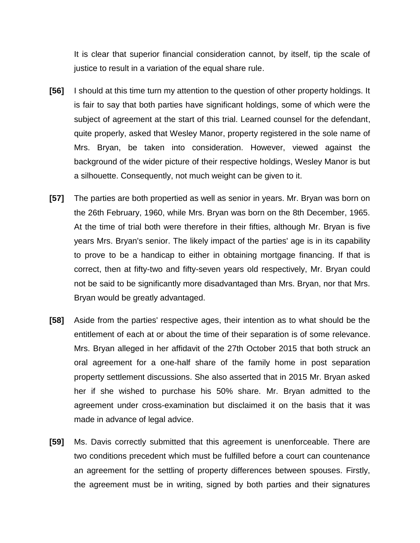It is clear that superior financial consideration cannot, by itself, tip the scale of justice to result in a variation of the equal share rule.

- **[56]** I should at this time turn my attention to the question of other property holdings. It is fair to say that both parties have significant holdings, some of which were the subject of agreement at the start of this trial. Learned counsel for the defendant, quite properly, asked that Wesley Manor, property registered in the sole name of Mrs. Bryan, be taken into consideration. However, viewed against the background of the wider picture of their respective holdings, Wesley Manor is but a silhouette. Consequently, not much weight can be given to it.
- **[57]** The parties are both propertied as well as senior in years. Mr. Bryan was born on the 26th February, 1960, while Mrs. Bryan was born on the 8th December, 1965. At the time of trial both were therefore in their fifties, although Mr. Bryan is five years Mrs. Bryan's senior. The likely impact of the parties' age is in its capability to prove to be a handicap to either in obtaining mortgage financing. If that is correct, then at fifty-two and fifty-seven years old respectively, Mr. Bryan could not be said to be significantly more disadvantaged than Mrs. Bryan, nor that Mrs. Bryan would be greatly advantaged.
- **[58]** Aside from the parties' respective ages, their intention as to what should be the entitlement of each at or about the time of their separation is of some relevance. Mrs. Bryan alleged in her affidavit of the 27th October 2015 that both struck an oral agreement for a one-half share of the family home in post separation property settlement discussions. She also asserted that in 2015 Mr. Bryan asked her if she wished to purchase his 50% share. Mr. Bryan admitted to the agreement under cross-examination but disclaimed it on the basis that it was made in advance of legal advice.
- **[59]** Ms. Davis correctly submitted that this agreement is unenforceable. There are two conditions precedent which must be fulfilled before a court can countenance an agreement for the settling of property differences between spouses. Firstly, the agreement must be in writing, signed by both parties and their signatures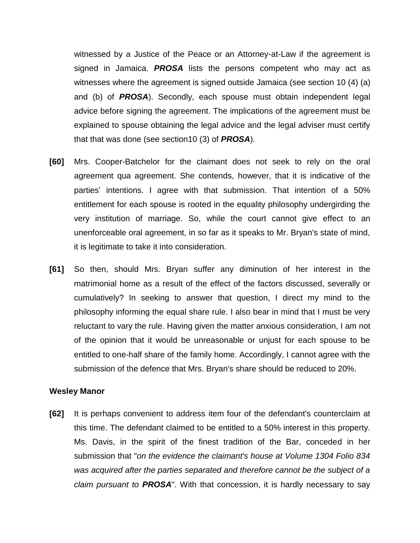witnessed by a Justice of the Peace or an Attorney-at-Law if the agreement is signed in Jamaica. *PROSA* lists the persons competent who may act as witnesses where the agreement is signed outside Jamaica (see section 10 (4) (a) and (b) of *PROSA*). Secondly, each spouse must obtain independent legal advice before signing the agreement. The implications of the agreement must be explained to spouse obtaining the legal advice and the legal adviser must certify that that was done (see section10 (3) of *PROSA*).

- **[60]** Mrs. Cooper-Batchelor for the claimant does not seek to rely on the oral agreement qua agreement. She contends, however, that it is indicative of the parties' intentions. I agree with that submission. That intention of a 50% entitlement for each spouse is rooted in the equality philosophy undergirding the very institution of marriage. So, while the court cannot give effect to an unenforceable oral agreement, in so far as it speaks to Mr. Bryan's state of mind, it is legitimate to take it into consideration.
- **[61]** So then, should Mrs. Bryan suffer any diminution of her interest in the matrimonial home as a result of the effect of the factors discussed, severally or cumulatively? In seeking to answer that question, I direct my mind to the philosophy informing the equal share rule. I also bear in mind that I must be very reluctant to vary the rule. Having given the matter anxious consideration, I am not of the opinion that it would be unreasonable or unjust for each spouse to be entitled to one-half share of the family home. Accordingly, I cannot agree with the submission of the defence that Mrs. Bryan's share should be reduced to 20%.

#### **Wesley Manor**

**[62]** It is perhaps convenient to address item four of the defendant's counterclaim at this time. The defendant claimed to be entitled to a 50% interest in this property. Ms. Davis, in the spirit of the finest tradition of the Bar, conceded in her submission that "*on the evidence the claimant's house at Volume 1304 Folio 834 was acquired after the parties separated and therefore cannot be the subject of a claim pursuant to PROSA*". With that concession, it is hardly necessary to say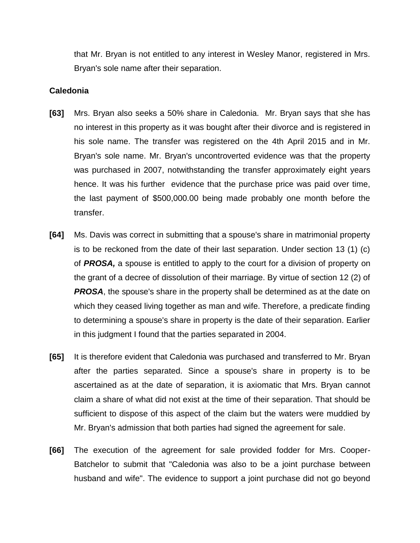that Mr. Bryan is not entitled to any interest in Wesley Manor, registered in Mrs. Bryan's sole name after their separation.

### **Caledonia**

- **[63]** Mrs. Bryan also seeks a 50% share in Caledonia. Mr. Bryan says that she has no interest in this property as it was bought after their divorce and is registered in his sole name. The transfer was registered on the 4th April 2015 and in Mr. Bryan's sole name. Mr. Bryan's uncontroverted evidence was that the property was purchased in 2007, notwithstanding the transfer approximately eight years hence. It was his further evidence that the purchase price was paid over time, the last payment of \$500,000.00 being made probably one month before the transfer.
- **[64]** Ms. Davis was correct in submitting that a spouse's share in matrimonial property is to be reckoned from the date of their last separation. Under section 13 (1) (c) of *PROSA,* a spouse is entitled to apply to the court for a division of property on the grant of a decree of dissolution of their marriage. By virtue of section 12 (2) of **PROSA**, the spouse's share in the property shall be determined as at the date on which they ceased living together as man and wife. Therefore, a predicate finding to determining a spouse's share in property is the date of their separation. Earlier in this judgment I found that the parties separated in 2004.
- **[65]** It is therefore evident that Caledonia was purchased and transferred to Mr. Bryan after the parties separated. Since a spouse's share in property is to be ascertained as at the date of separation, it is axiomatic that Mrs. Bryan cannot claim a share of what did not exist at the time of their separation. That should be sufficient to dispose of this aspect of the claim but the waters were muddied by Mr. Bryan's admission that both parties had signed the agreement for sale.
- **[66]** The execution of the agreement for sale provided fodder for Mrs. Cooper-Batchelor to submit that "Caledonia was also to be a joint purchase between husband and wife". The evidence to support a joint purchase did not go beyond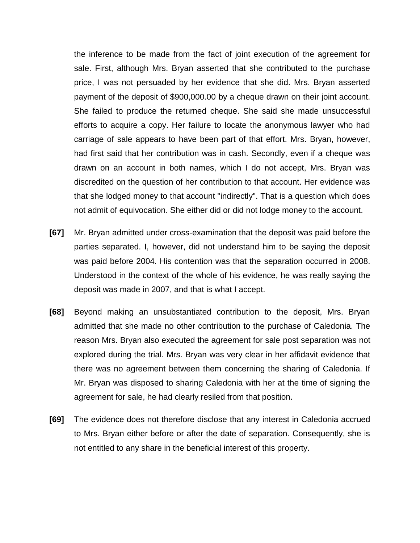the inference to be made from the fact of joint execution of the agreement for sale. First, although Mrs. Bryan asserted that she contributed to the purchase price, I was not persuaded by her evidence that she did. Mrs. Bryan asserted payment of the deposit of \$900,000.00 by a cheque drawn on their joint account. She failed to produce the returned cheque. She said she made unsuccessful efforts to acquire a copy. Her failure to locate the anonymous lawyer who had carriage of sale appears to have been part of that effort. Mrs. Bryan, however, had first said that her contribution was in cash. Secondly, even if a cheque was drawn on an account in both names, which I do not accept, Mrs. Bryan was discredited on the question of her contribution to that account. Her evidence was that she lodged money to that account "indirectly". That is a question which does not admit of equivocation. She either did or did not lodge money to the account.

- **[67]** Mr. Bryan admitted under cross-examination that the deposit was paid before the parties separated. I, however, did not understand him to be saying the deposit was paid before 2004. His contention was that the separation occurred in 2008. Understood in the context of the whole of his evidence, he was really saying the deposit was made in 2007, and that is what I accept.
- **[68]** Beyond making an unsubstantiated contribution to the deposit, Mrs. Bryan admitted that she made no other contribution to the purchase of Caledonia. The reason Mrs. Bryan also executed the agreement for sale post separation was not explored during the trial. Mrs. Bryan was very clear in her affidavit evidence that there was no agreement between them concerning the sharing of Caledonia. If Mr. Bryan was disposed to sharing Caledonia with her at the time of signing the agreement for sale, he had clearly resiled from that position.
- **[69]** The evidence does not therefore disclose that any interest in Caledonia accrued to Mrs. Bryan either before or after the date of separation. Consequently, she is not entitled to any share in the beneficial interest of this property.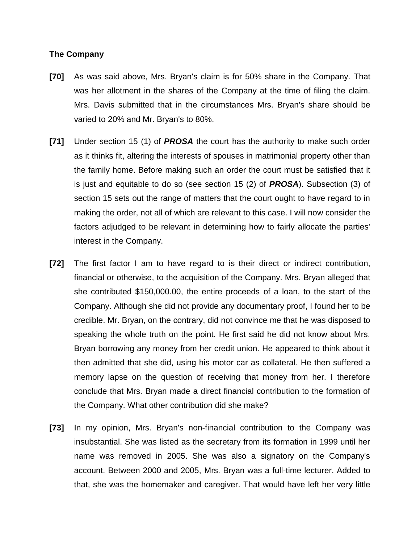#### **The Company**

- **[70]** As was said above, Mrs. Bryan's claim is for 50% share in the Company. That was her allotment in the shares of the Company at the time of filing the claim. Mrs. Davis submitted that in the circumstances Mrs. Bryan's share should be varied to 20% and Mr. Bryan's to 80%.
- **[71]** Under section 15 (1) of *PROSA* the court has the authority to make such order as it thinks fit, altering the interests of spouses in matrimonial property other than the family home. Before making such an order the court must be satisfied that it is just and equitable to do so (see section 15 (2) of *PROSA*). Subsection (3) of section 15 sets out the range of matters that the court ought to have regard to in making the order, not all of which are relevant to this case. I will now consider the factors adjudged to be relevant in determining how to fairly allocate the parties' interest in the Company.
- **[72]** The first factor I am to have regard to is their direct or indirect contribution, financial or otherwise, to the acquisition of the Company. Mrs. Bryan alleged that she contributed \$150,000.00, the entire proceeds of a loan, to the start of the Company. Although she did not provide any documentary proof, I found her to be credible. Mr. Bryan, on the contrary, did not convince me that he was disposed to speaking the whole truth on the point. He first said he did not know about Mrs. Bryan borrowing any money from her credit union. He appeared to think about it then admitted that she did, using his motor car as collateral. He then suffered a memory lapse on the question of receiving that money from her. I therefore conclude that Mrs. Bryan made a direct financial contribution to the formation of the Company. What other contribution did she make?
- **[73]** In my opinion, Mrs. Bryan's non-financial contribution to the Company was insubstantial. She was listed as the secretary from its formation in 1999 until her name was removed in 2005. She was also a signatory on the Company's account. Between 2000 and 2005, Mrs. Bryan was a full-time lecturer. Added to that, she was the homemaker and caregiver. That would have left her very little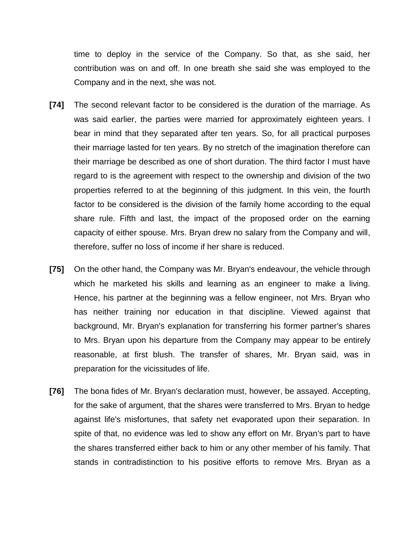time to deploy in the service of the Company. So that, as she said, her contribution was on and off. In one breath she said she was employed to the Company and in the next, she was not.

- **[74]** The second relevant factor to be considered is the duration of the marriage. As was said earlier, the parties were married for approximately eighteen years. I bear in mind that they separated after ten years. So, for all practical purposes their marriage lasted for ten years. By no stretch of the imagination therefore can their marriage be described as one of short duration. The third factor I must have regard to is the agreement with respect to the ownership and division of the two properties referred to at the beginning of this judgment. In this vein, the fourth factor to be considered is the division of the family home according to the equal share rule. Fifth and last, the impact of the proposed order on the earning capacity of either spouse. Mrs. Bryan drew no salary from the Company and will, therefore, suffer no loss of income if her share is reduced.
- **[75]** On the other hand, the Company was Mr. Bryan's endeavour, the vehicle through which he marketed his skills and learning as an engineer to make a living. Hence, his partner at the beginning was a fellow engineer, not Mrs. Bryan who has neither training nor education in that discipline. Viewed against that background, Mr. Bryan's explanation for transferring his former partner's shares to Mrs. Bryan upon his departure from the Company may appear to be entirely reasonable, at first blush. The transfer of shares, Mr. Bryan said, was in preparation for the vicissitudes of life.
- **[76]** The bona fides of Mr. Bryan's declaration must, however, be assayed. Accepting, for the sake of argument, that the shares were transferred to Mrs. Bryan to hedge against life's misfortunes, that safety net evaporated upon their separation. In spite of that, no evidence was led to show any effort on Mr. Bryan's part to have the shares transferred either back to him or any other member of his family. That stands in contradistinction to his positive efforts to remove Mrs. Bryan as a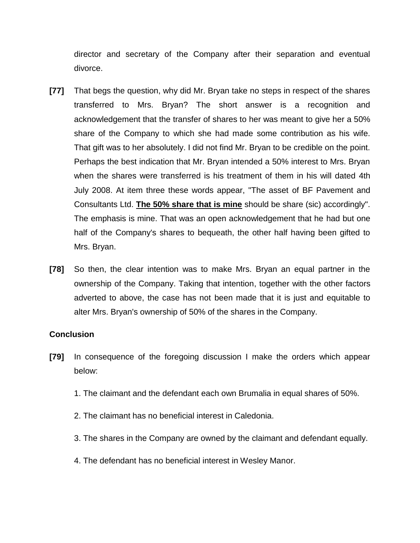director and secretary of the Company after their separation and eventual divorce.

- **[77]** That begs the question, why did Mr. Bryan take no steps in respect of the shares transferred to Mrs. Bryan? The short answer is a recognition and acknowledgement that the transfer of shares to her was meant to give her a 50% share of the Company to which she had made some contribution as his wife. That gift was to her absolutely. I did not find Mr. Bryan to be credible on the point. Perhaps the best indication that Mr. Bryan intended a 50% interest to Mrs. Bryan when the shares were transferred is his treatment of them in his will dated 4th July 2008. At item three these words appear, "The asset of BF Pavement and Consultants Ltd. **The 50% share that is mine** should be share (sic) accordingly". The emphasis is mine. That was an open acknowledgement that he had but one half of the Company's shares to bequeath, the other half having been gifted to Mrs. Bryan.
- **[78]** So then, the clear intention was to make Mrs. Bryan an equal partner in the ownership of the Company. Taking that intention, together with the other factors adverted to above, the case has not been made that it is just and equitable to alter Mrs. Bryan's ownership of 50% of the shares in the Company.

#### **Conclusion**

- **[79]** In consequence of the foregoing discussion I make the orders which appear below:
	- 1. The claimant and the defendant each own Brumalia in equal shares of 50%.
	- 2. The claimant has no beneficial interest in Caledonia.
	- 3. The shares in the Company are owned by the claimant and defendant equally.
	- 4. The defendant has no beneficial interest in Wesley Manor.